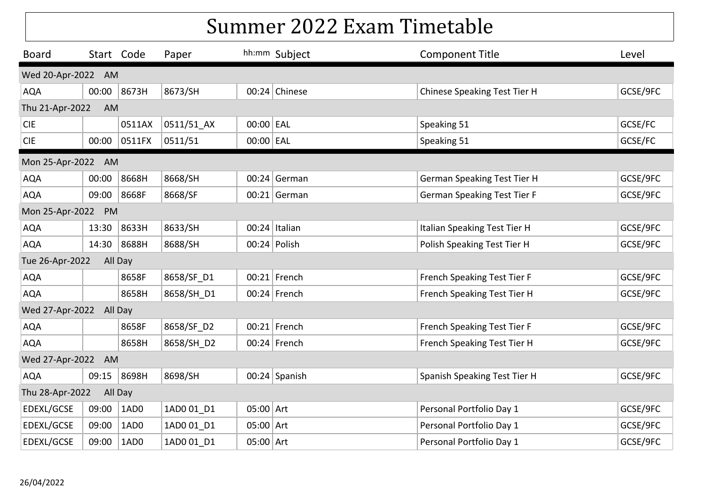| <b>Board</b>            | Start Code            |         | Paper      |             | hh:mm Subject  | <b>Component Title</b>             | Level    |  |  |  |
|-------------------------|-----------------------|---------|------------|-------------|----------------|------------------------------------|----------|--|--|--|
| Wed 20-Apr-2022 AM      |                       |         |            |             |                |                                    |          |  |  |  |
| <b>AQA</b>              | 00:00                 | 8673H   | 8673/SH    |             | 00:24 Chinese  | Chinese Speaking Test Tier H       | GCSE/9FC |  |  |  |
| Thu 21-Apr-2022         | AM                    |         |            |             |                |                                    |          |  |  |  |
| <b>CIE</b>              |                       | 0511AX  | 0511/51_AX | $00:00$ EAL |                | Speaking 51                        | GCSE/FC  |  |  |  |
| <b>CIE</b>              | 00:00                 | 0511FX  | 0511/51    | 00:00 EAL   |                | Speaking 51                        | GCSE/FC  |  |  |  |
| Mon 25-Apr-2022 AM      |                       |         |            |             |                |                                    |          |  |  |  |
| <b>AQA</b>              | 00:00                 | 8668H   | 8668/SH    |             | $00:24$ German | <b>German Speaking Test Tier H</b> | GCSE/9FC |  |  |  |
| <b>AQA</b>              | 09:00                 | 8668F   | 8668/SF    |             | $00:21$ German | German Speaking Test Tier F        | GCSE/9FC |  |  |  |
|                         | Mon 25-Apr-2022<br>PM |         |            |             |                |                                    |          |  |  |  |
| <b>AQA</b>              | 13:30                 | 8633H   | 8633/SH    |             | 00:24 Italian  | Italian Speaking Test Tier H       | GCSE/9FC |  |  |  |
| <b>AQA</b>              | 14:30 8688H           |         | 8688/SH    |             | 00:24 Polish   | Polish Speaking Test Tier H        | GCSE/9FC |  |  |  |
| Tue 26-Apr-2022         |                       | All Day |            |             |                |                                    |          |  |  |  |
| <b>AQA</b>              |                       | 8658F   | 8658/SF D1 |             | $00:21$ French | French Speaking Test Tier F        | GCSE/9FC |  |  |  |
| <b>AQA</b>              |                       | 8658H   | 8658/SH D1 |             | 00:24 French   | French Speaking Test Tier H        | GCSE/9FC |  |  |  |
| Wed 27-Apr-2022 All Day |                       |         |            |             |                |                                    |          |  |  |  |
| <b>AQA</b>              |                       | 8658F   | 8658/SF D2 |             | 00:21 French   | French Speaking Test Tier F        | GCSE/9FC |  |  |  |
| <b>AQA</b>              |                       | 8658H   | 8658/SH D2 |             | 00:24 French   | French Speaking Test Tier H        | GCSE/9FC |  |  |  |
| Wed 27-Apr-2022 AM      |                       |         |            |             |                |                                    |          |  |  |  |
| <b>AQA</b>              | 09:15                 | 8698H   | 8698/SH    |             | 00:24 Spanish  | Spanish Speaking Test Tier H       | GCSE/9FC |  |  |  |
| Thu 28-Apr-2022         |                       | All Day |            |             |                |                                    |          |  |  |  |
| EDEXL/GCSE              | 09:00                 | 1AD0    | 1AD0 01_D1 | $05:00$ Art |                | Personal Portfolio Day 1           | GCSE/9FC |  |  |  |
| EDEXL/GCSE              | 09:00                 | 1AD0    | 1AD0 01 D1 | $05:00$ Art |                | Personal Portfolio Day 1           | GCSE/9FC |  |  |  |
| EDEXL/GCSE              | 09:00                 | 1AD0    | 1AD0 01 D1 | 05:00 Art   |                | Personal Portfolio Day 1           | GCSE/9FC |  |  |  |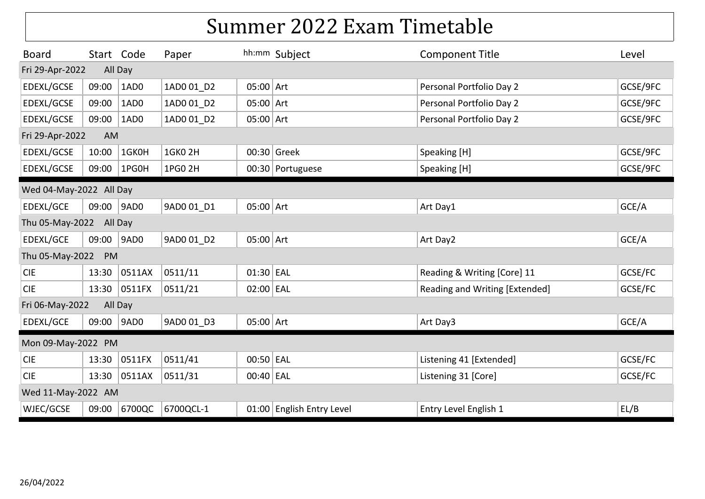| <b>Board</b>            | Start Code            |         | Paper          |             | hh:mm Subject             | <b>Component Title</b>         | Level    |  |  |  |
|-------------------------|-----------------------|---------|----------------|-------------|---------------------------|--------------------------------|----------|--|--|--|
| Fri 29-Apr-2022         |                       | All Day |                |             |                           |                                |          |  |  |  |
| EDEXL/GCSE              | 09:00                 | 1AD0    | 1AD0 01 D2     | $05:00$ Art |                           | Personal Portfolio Day 2       | GCSE/9FC |  |  |  |
| EDEXL/GCSE              | 09:00                 | 1AD0    | 1AD0 01 D2     | $05:00$ Art |                           | Personal Portfolio Day 2       | GCSE/9FC |  |  |  |
| EDEXL/GCSE              | 09:00                 | 1AD0    | 1AD0 01_D2     | $05:00$ Art |                           | Personal Portfolio Day 2       | GCSE/9FC |  |  |  |
|                         | Fri 29-Apr-2022<br>AM |         |                |             |                           |                                |          |  |  |  |
| EDEXL/GCSE              | 10:00                 | 1GK0H   | <b>1GK0 2H</b> |             | 00:30 Greek               | Speaking [H]                   | GCSE/9FC |  |  |  |
| EDEXL/GCSE              | 09:00                 | 1PG0H   | 1PG0 2H        |             | 00:30 Portuguese          | Speaking [H]                   | GCSE/9FC |  |  |  |
| Wed 04-May-2022 All Day |                       |         |                |             |                           |                                |          |  |  |  |
| EDEXL/GCE               | 09:00                 | 9AD0    | 9AD0 01 D1     | $05:00$ Art |                           | Art Day1                       | GCE/A    |  |  |  |
| Thu 05-May-2022 All Day |                       |         |                |             |                           |                                |          |  |  |  |
| EDEXL/GCE               | 09:00                 | 9AD0    | 9AD0 01 D2     | $05:00$ Art |                           | Art Day2                       | GCE/A    |  |  |  |
| Thu 05-May-2022         | PM                    |         |                |             |                           |                                |          |  |  |  |
| <b>CIE</b>              | 13:30                 | 0511AX  | 0511/11        | 01:30 EAL   |                           | Reading & Writing [Core] 11    | GCSE/FC  |  |  |  |
| <b>CIE</b>              | 13:30                 | 0511FX  | 0511/21        | 02:00 EAL   |                           | Reading and Writing [Extended] | GCSE/FC  |  |  |  |
| Fri 06-May-2022         |                       | All Day |                |             |                           |                                |          |  |  |  |
| EDEXL/GCE               | 09:00                 | 9AD0    | 9AD0 01 D3     | $05:00$ Art |                           | Art Day3                       | GCE/A    |  |  |  |
| Mon 09-May-2022 PM      |                       |         |                |             |                           |                                |          |  |  |  |
| <b>CIE</b>              | 13:30                 | 0511FX  | 0511/41        | 00:50 EAL   |                           | Listening 41 [Extended]        | GCSE/FC  |  |  |  |
| <b>CIE</b>              | 13:30                 | 0511AX  | 0511/31        | 00:40 EAL   |                           | Listening 31 [Core]            | GCSE/FC  |  |  |  |
| Wed 11-May-2022 AM      |                       |         |                |             |                           |                                |          |  |  |  |
| WJEC/GCSE               | 09:00                 | 6700QC  | 6700QCL-1      |             | 01:00 English Entry Level | Entry Level English 1          | EL/B     |  |  |  |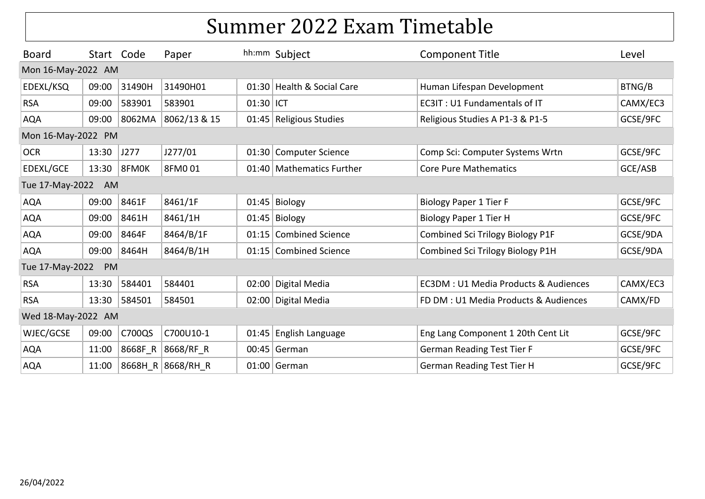| <b>Board</b>       | Start Code         |        | Paper               |           | hh:mm Subject              | <b>Component Title</b>                          | Level    |  |  |  |  |
|--------------------|--------------------|--------|---------------------|-----------|----------------------------|-------------------------------------------------|----------|--|--|--|--|
|                    | Mon 16-May-2022 AM |        |                     |           |                            |                                                 |          |  |  |  |  |
| EDEXL/KSQ          | 09:00              | 31490H | 31490H01            |           | 01:30 Health & Social Care | Human Lifespan Development                      | BTNG/B   |  |  |  |  |
| <b>RSA</b>         | 09:00              | 583901 | 583901              | 01:30 ICT |                            | EC3IT: U1 Fundamentals of IT                    | CAMX/EC3 |  |  |  |  |
| <b>AQA</b>         | 09:00              |        | 8062MA 8062/13 & 15 |           | 01:45 Religious Studies    | Religious Studies A P1-3 & P1-5                 | GCSE/9FC |  |  |  |  |
|                    | Mon 16-May-2022 PM |        |                     |           |                            |                                                 |          |  |  |  |  |
| <b>OCR</b>         | 13:30              | J277   | J277/01             |           | 01:30 Computer Science     | Comp Sci: Computer Systems Wrtn                 | GCSE/9FC |  |  |  |  |
| EDEXL/GCE          | 13:30              | 8FM0K  | 8FM001              |           | 01:40 Mathematics Further  | <b>Core Pure Mathematics</b>                    | GCE/ASB  |  |  |  |  |
| Tue 17-May-2022    | AM                 |        |                     |           |                            |                                                 |          |  |  |  |  |
| <b>AQA</b>         | 09:00              | 8461F  | 8461/1F             |           | $01:45$ Biology            | <b>Biology Paper 1 Tier F</b>                   | GCSE/9FC |  |  |  |  |
| <b>AQA</b>         | 09:00              | 8461H  | 8461/1H             |           | $01:45$ Biology            | Biology Paper 1 Tier H                          | GCSE/9FC |  |  |  |  |
| <b>AQA</b>         | 09:00              | 8464F  | 8464/B/1F           |           | 01:15 Combined Science     | <b>Combined Sci Trilogy Biology P1F</b>         | GCSE/9DA |  |  |  |  |
| <b>AQA</b>         | 09:00              | 8464H  | 8464/B/1H           |           | 01:15 Combined Science     | Combined Sci Trilogy Biology P1H                | GCSE/9DA |  |  |  |  |
| Tue 17-May-2022    | PM                 |        |                     |           |                            |                                                 |          |  |  |  |  |
| <b>RSA</b>         | 13:30              | 584401 | 584401              |           | 02:00 Digital Media        | <b>EC3DM: U1 Media Products &amp; Audiences</b> | CAMX/EC3 |  |  |  |  |
| <b>RSA</b>         | 13:30              | 584501 | 584501              |           | 02:00 Digital Media        | FD DM : U1 Media Products & Audiences           | CAMX/FD  |  |  |  |  |
| Wed 18-May-2022 AM |                    |        |                     |           |                            |                                                 |          |  |  |  |  |
| WJEC/GCSE          | 09:00              | C700QS | C700U10-1           |           | 01:45 English Language     | Eng Lang Component 1 20th Cent Lit              | GCSE/9FC |  |  |  |  |
| <b>AQA</b>         | 11:00              |        | 8668F_R 8668/RF_R   |           | $00:45$ German             | <b>German Reading Test Tier F</b>               | GCSE/9FC |  |  |  |  |
| <b>AQA</b>         | 11:00              |        | 8668H R 8668/RH R   |           | $01:00$ German             | <b>German Reading Test Tier H</b>               | GCSE/9FC |  |  |  |  |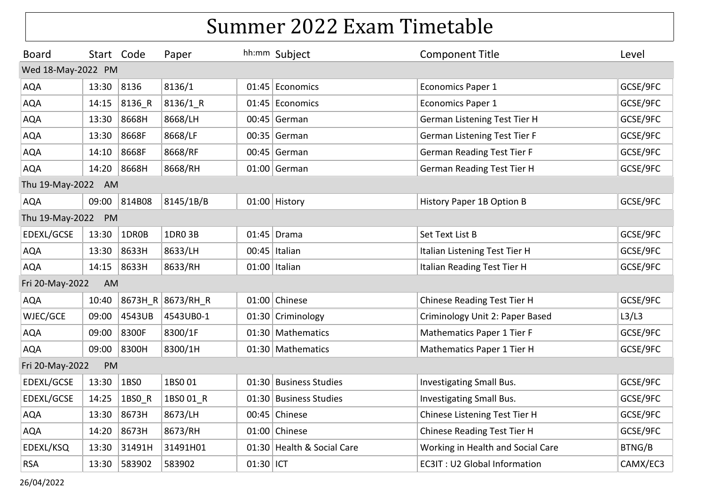| <b>Board</b>       | Start Code |        | Paper             |           | hh:mm Subject              | <b>Component Title</b>              | Level    |
|--------------------|------------|--------|-------------------|-----------|----------------------------|-------------------------------------|----------|
| Wed 18-May-2022 PM |            |        |                   |           |                            |                                     |          |
| <b>AQA</b>         | 13:30      | 8136   | 8136/1            |           | 01:45 Economics            | <b>Economics Paper 1</b>            | GCSE/9FC |
| <b>AQA</b>         | 14:15      | 8136 R | 8136/1 R          |           | 01:45 Economics            | <b>Economics Paper 1</b>            | GCSE/9FC |
| <b>AQA</b>         | 13:30      | 8668H  | 8668/LH           |           | $00:45$ German             | German Listening Test Tier H        | GCSE/9FC |
| <b>AQA</b>         | 13:30      | 8668F  | 8668/LF           |           | $00:35$ German             | German Listening Test Tier F        | GCSE/9FC |
| <b>AQA</b>         | 14:10      | 8668F  | 8668/RF           |           | $00:45$ German             | <b>German Reading Test Tier F</b>   | GCSE/9FC |
| <b>AQA</b>         | 14:20      | 8668H  | 8668/RH           |           | $01:00$ German             | <b>German Reading Test Tier H</b>   | GCSE/9FC |
| Thu 19-May-2022 AM |            |        |                   |           |                            |                                     |          |
| <b>AQA</b>         | 09:00      | 814B08 | 8145/1B/B         |           | 01:00 History              | History Paper 1B Option B           | GCSE/9FC |
| Thu 19-May-2022 PM |            |        |                   |           |                            |                                     |          |
| EDEXL/GCSE         | 13:30      | 1DR0B  | 1DR0 3B           |           | $01:45$ Drama              | Set Text List B                     | GCSE/9FC |
| <b>AQA</b>         | 13:30      | 8633H  | 8633/LH           |           | 00:45 Italian              | Italian Listening Test Tier H       | GCSE/9FC |
| <b>AQA</b>         | 14:15      | 8633H  | 8633/RH           |           | $01:00$ Italian            | Italian Reading Test Tier H         | GCSE/9FC |
| Fri 20-May-2022    | AM         |        |                   |           |                            |                                     |          |
| <b>AQA</b>         | 10:40      |        | 8673H_R 8673/RH_R |           | 01:00 Chinese              | Chinese Reading Test Tier H         | GCSE/9FC |
| WJEC/GCE           | 09:00      | 4543UB | 4543UB0-1         |           | 01:30 Criminology          | Criminology Unit 2: Paper Based     | L3/L3    |
| <b>AQA</b>         | 09:00      | 8300F  | 8300/1F           |           | 01:30 Mathematics          | Mathematics Paper 1 Tier F          | GCSE/9FC |
| <b>AQA</b>         | 09:00      | 8300H  | 8300/1H           |           | 01:30 Mathematics          | Mathematics Paper 1 Tier H          | GCSE/9FC |
| Fri 20-May-2022    | PM         |        |                   |           |                            |                                     |          |
| EDEXL/GCSE         | 13:30      | 1BSO   | 1BS001            |           | 01:30 Business Studies     | Investigating Small Bus.            | GCSE/9FC |
| EDEXL/GCSE         | 14:25      | 1BS0_R | 1BS001 R          |           | 01:30 Business Studies     | Investigating Small Bus.            | GCSE/9FC |
| <b>AQA</b>         | 13:30      | 8673H  | 8673/LH           |           | 00:45 Chinese              | Chinese Listening Test Tier H       | GCSE/9FC |
| <b>AQA</b>         | 14:20      | 8673H  | 8673/RH           |           | 01:00 Chinese              | Chinese Reading Test Tier H         | GCSE/9FC |
| EDEXL/KSQ          | 13:30      | 31491H | 31491H01          |           | 01:30 Health & Social Care | Working in Health and Social Care   | BTNG/B   |
| <b>RSA</b>         | 13:30      | 583902 | 583902            | 01:30 ICT |                            | <b>EC3IT: U2 Global Information</b> | CAMX/EC3 |

26/04/2022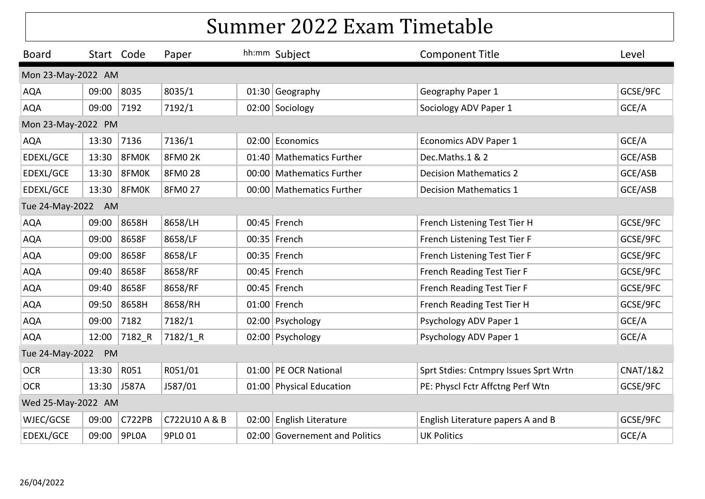| <b>Board</b>       | Start Code |               | Paper         | hh:mm Subject                  | <b>Component Title</b>                | Level               |
|--------------------|------------|---------------|---------------|--------------------------------|---------------------------------------|---------------------|
| Mon 23-May-2022 AM |            |               |               |                                |                                       |                     |
| <b>AQA</b>         | 09:00      | 8035          | 8035/1        | 01:30 Geography                | Geography Paper 1                     | GCSE/9FC            |
| <b>AQA</b>         | 09:00      | 7192          | 7192/1        | 02:00 Sociology                | Sociology ADV Paper 1                 | GCE/A               |
| Mon 23-May-2022 PM |            |               |               |                                |                                       |                     |
| <b>AQA</b>         | 13:30      | 7136          | 7136/1        | 02:00 Economics                | Economics ADV Paper 1                 | GCE/A               |
| EDEXL/GCE          | 13:30      | 8FM0K         | 8FM02K        | 01:40 Mathematics Further      | Dec.Maths.1 & 2                       | GCE/ASB             |
| EDEXL/GCE          | 13:30      | 8FM0K         | 8FM0 28       | 00:00 Mathematics Further      | <b>Decision Mathematics 2</b>         | GCE/ASB             |
| EDEXL/GCE          | 13:30      | 8FM0K         | 8FM0 27       | 00:00 Mathematics Further      | <b>Decision Mathematics 1</b>         | GCE/ASB             |
| Tue 24-May-2022    | AM         |               |               |                                |                                       |                     |
| <b>AQA</b>         | 09:00      | 8658H         | 8658/LH       | $00:45$ French                 | French Listening Test Tier H          | GCSE/9FC            |
| <b>AQA</b>         | 09:00      | 8658F         | 8658/LF       | 00:35 French                   | French Listening Test Tier F          | GCSE/9FC            |
| <b>AQA</b>         | 09:00      | 8658F         | 8658/LF       | 00:35 French                   | French Listening Test Tier F          | GCSE/9FC            |
| <b>AQA</b>         | 09:40      | 8658F         | 8658/RF       | 00:45 French                   | French Reading Test Tier F            | GCSE/9FC            |
| <b>AQA</b>         | 09:40      | 8658F         | 8658/RF       | $00:45$ French                 | French Reading Test Tier F            | GCSE/9FC            |
| <b>AQA</b>         | 09:50      | 8658H         | 8658/RH       | 01:00 French                   | French Reading Test Tier H            | GCSE/9FC            |
| <b>AQA</b>         | 09:00      | 7182          | 7182/1        | 02:00 Psychology               | Psychology ADV Paper 1                | GCE/A               |
| <b>AQA</b>         | 12:00      | 7182 R        | 7182/1_R      | 02:00 Psychology               | Psychology ADV Paper 1                | GCE/A               |
| Tue 24-May-2022    | PM         |               |               |                                |                                       |                     |
| <b>OCR</b>         | 13:30      | R051          | R051/01       | 01:00 PE OCR National          | Sprt Stdies: Cntmpry Issues Sprt Wrtn | <b>CNAT/1&amp;2</b> |
| <b>OCR</b>         | 13:30      | J587A         | J587/01       | 01:00 Physical Education       | PE: Physcl Fctr Affctng Perf Wtn      | GCSE/9FC            |
| Wed 25-May-2022 AM |            |               |               |                                |                                       |                     |
| WJEC/GCSE          | 09:00      | <b>C722PB</b> | C722U10 A & B | 02:00 English Literature       | English Literature papers A and B     | GCSE/9FC            |
| EDEXL/GCE          | 09:00      | 9PL0A         | 9PL0 01       | 02:00 Governement and Politics | <b>UK Politics</b>                    | GCE/A               |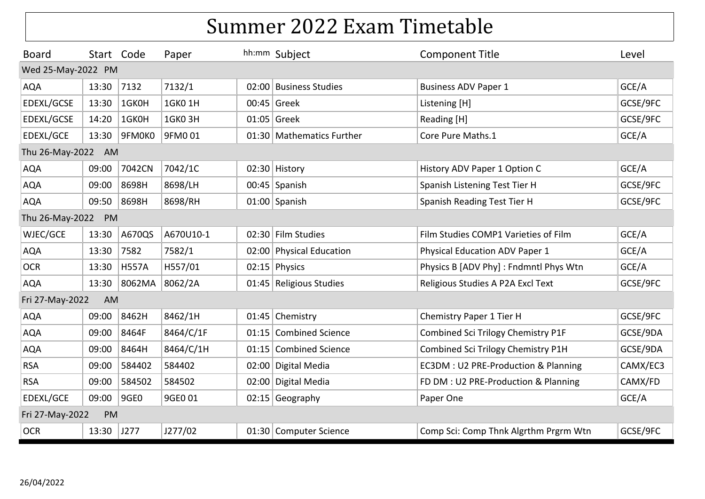| <b>Board</b>          | Start Code |              | Paper         |  | hh:mm Subject             | <b>Component Title</b>                 | Level    |  |  |  |
|-----------------------|------------|--------------|---------------|--|---------------------------|----------------------------------------|----------|--|--|--|
| Wed 25-May-2022 PM    |            |              |               |  |                           |                                        |          |  |  |  |
| <b>AQA</b>            | 13:30      | 7132         | 7132/1        |  | 02:00 Business Studies    | <b>Business ADV Paper 1</b>            | GCE/A    |  |  |  |
| EDEXL/GCSE            | 13:30      | 1GK0H        | 1GK0 1H       |  | 00:45 Greek               | Listening [H]                          | GCSE/9FC |  |  |  |
| EDEXL/GCSE            | 14:20      | 1GK0H        | <b>1GK03H</b> |  | 01:05 Greek               | Reading [H]                            | GCSE/9FC |  |  |  |
| EDEXL/GCE             | 13:30      | 9FM0K0       | 9FM001        |  | 01:30 Mathematics Further | Core Pure Maths.1                      | GCE/A    |  |  |  |
| Thu 26-May-2022<br>AM |            |              |               |  |                           |                                        |          |  |  |  |
| <b>AQA</b>            | 09:00      | 7042CN       | 7042/1C       |  | 02:30 History             | History ADV Paper 1 Option C           | GCE/A    |  |  |  |
| <b>AQA</b>            | 09:00      | 8698H        | 8698/LH       |  | 00:45 Spanish             | Spanish Listening Test Tier H          | GCSE/9FC |  |  |  |
| <b>AQA</b>            | 09:50      | 8698H        | 8698/RH       |  | 01:00 Spanish             | Spanish Reading Test Tier H            | GCSE/9FC |  |  |  |
| Thu 26-May-2022       | PM         |              |               |  |                           |                                        |          |  |  |  |
| WJEC/GCE              | 13:30      | A670QS       | A670U10-1     |  | 02:30 Film Studies        | Film Studies COMP1 Varieties of Film   | GCE/A    |  |  |  |
| <b>AQA</b>            | 13:30      | 7582         | 7582/1        |  | 02:00 Physical Education  | Physical Education ADV Paper 1         | GCE/A    |  |  |  |
| <b>OCR</b>            | 13:30      | <b>H557A</b> | H557/01       |  | $02:15$ Physics           | Physics B [ADV Phy] : Fndmntl Phys Wtn | GCE/A    |  |  |  |
| <b>AQA</b>            | 13:30      | 8062MA       | 8062/2A       |  | 01:45 Religious Studies   | Religious Studies A P2A Excl Text      | GCSE/9FC |  |  |  |
| Fri 27-May-2022       | AM         |              |               |  |                           |                                        |          |  |  |  |
| <b>AQA</b>            | 09:00      | 8462H        | 8462/1H       |  | 01:45 Chemistry           | Chemistry Paper 1 Tier H               | GCSE/9FC |  |  |  |
| <b>AQA</b>            | 09:00      | 8464F        | 8464/C/1F     |  | 01:15 Combined Science    | Combined Sci Trilogy Chemistry P1F     | GCSE/9DA |  |  |  |
| <b>AQA</b>            | 09:00      | 8464H        | 8464/C/1H     |  | 01:15 Combined Science    | Combined Sci Trilogy Chemistry P1H     | GCSE/9DA |  |  |  |
| <b>RSA</b>            | 09:00      | 584402       | 584402        |  | 02:00 Digital Media       | EC3DM : U2 PRE-Production & Planning   | CAMX/EC3 |  |  |  |
| <b>RSA</b>            | 09:00      | 584502       | 584502        |  | 02:00 Digital Media       | FD DM : U2 PRE-Production & Planning   | CAMX/FD  |  |  |  |
| EDEXL/GCE             | 09:00      | 9GE0         | 9GE0 01       |  | 02:15 Geography           | Paper One                              | GCE/A    |  |  |  |
| Fri 27-May-2022       | PM         |              |               |  |                           |                                        |          |  |  |  |
| <b>OCR</b>            | 13:30      | J277         | J277/02       |  | 01:30 Computer Science    | Comp Sci: Comp Thnk Algrthm Prgrm Wtn  | GCSE/9FC |  |  |  |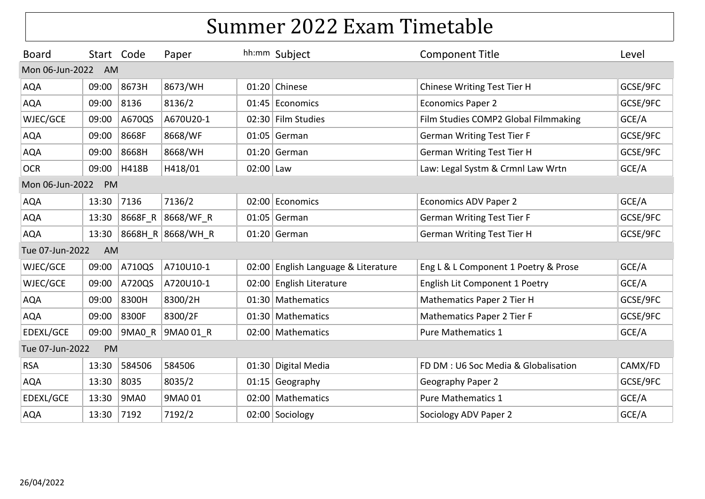| <b>Board</b>    | Start Code |         | Paper             |           | hh:mm Subject                       | <b>Component Title</b>               | Level    |
|-----------------|------------|---------|-------------------|-----------|-------------------------------------|--------------------------------------|----------|
| Mon 06-Jun-2022 | AM         |         |                   |           |                                     |                                      |          |
| <b>AQA</b>      | 09:00      | 8673H   | 8673/WH           |           | 01:20 Chinese                       | Chinese Writing Test Tier H          | GCSE/9FC |
| <b>AQA</b>      | 09:00      | 8136    | 8136/2            |           | 01:45 Economics                     | <b>Economics Paper 2</b>             | GCSE/9FC |
| WJEC/GCE        | 09:00      | A670QS  | A670U20-1         |           | 02:30 Film Studies                  | Film Studies COMP2 Global Filmmaking | GCE/A    |
| <b>AQA</b>      | 09:00      | 8668F   | 8668/WF           |           | $01:05$ German                      | <b>German Writing Test Tier F</b>    | GCSE/9FC |
| AQA             | 09:00      | 8668H   | 8668/WH           |           | $01:20$ German                      | <b>German Writing Test Tier H</b>    | GCSE/9FC |
| <b>OCR</b>      | 09:00      | H418B   | H418/01           | 02:00 Law |                                     | Law: Legal Systm & Crmnl Law Wrtn    | GCE/A    |
| Mon 06-Jun-2022 | PM         |         |                   |           |                                     |                                      |          |
| <b>AQA</b>      | 13:30      | 7136    | 7136/2            |           | 02:00 Economics                     | Economics ADV Paper 2                | GCE/A    |
| <b>AQA</b>      | 13:30      | 8668F R | 8668/WF R         |           | $01:05$ German                      | <b>German Writing Test Tier F</b>    | GCSE/9FC |
| <b>AQA</b>      | 13:30      |         | 8668H R 8668/WH R |           | $01:20$ German                      | <b>German Writing Test Tier H</b>    | GCSE/9FC |
| Tue 07-Jun-2022 | AM         |         |                   |           |                                     |                                      |          |
| WJEC/GCE        | 09:00      | A710QS  | A710U10-1         |           | 02:00 English Language & Literature | Eng L & L Component 1 Poetry & Prose | GCE/A    |
| WJEC/GCE        | 09:00      | A720QS  | A720U10-1         | 02:00     | English Literature                  | English Lit Component 1 Poetry       | GCE/A    |
| <b>AQA</b>      | 09:00      | 8300H   | 8300/2H           |           | 01:30 Mathematics                   | Mathematics Paper 2 Tier H           | GCSE/9FC |
| <b>AQA</b>      | 09:00      | 8300F   | 8300/2F           |           | 01:30 Mathematics                   | Mathematics Paper 2 Tier F           | GCSE/9FC |
| EDEXL/GCE       | 09:00      | 9MA0 R  | 9MA0 01 R         |           | 02:00 Mathematics                   | <b>Pure Mathematics 1</b>            | GCE/A    |
| Tue 07-Jun-2022 | PM         |         |                   |           |                                     |                                      |          |
| <b>RSA</b>      | 13:30      | 584506  | 584506            |           | 01:30 Digital Media                 | FD DM: U6 Soc Media & Globalisation  | CAMX/FD  |
| <b>AQA</b>      | 13:30      | 8035    | 8035/2            |           | 01:15 Geography                     | Geography Paper 2                    | GCSE/9FC |
| EDEXL/GCE       | 13:30      | 9MA0    | 9MA001            |           | 02:00 Mathematics                   | <b>Pure Mathematics 1</b>            | GCE/A    |
| <b>AQA</b>      | 13:30      | 7192    | 7192/2            |           | 02:00 Sociology                     | Sociology ADV Paper 2                | GCE/A    |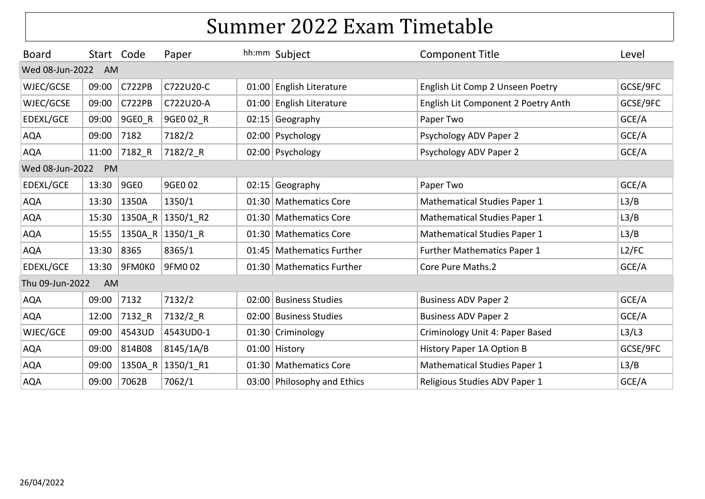| <b>Board</b>    |       | Start Code    | Paper             | hh:mm Subject               | <b>Component Title</b>              | Level    |
|-----------------|-------|---------------|-------------------|-----------------------------|-------------------------------------|----------|
| Wed 08-Jun-2022 | AM    |               |                   |                             |                                     |          |
| WJEC/GCSE       | 09:00 | <b>C722PB</b> | C722U20-C         | 01:00 English Literature    | English Lit Comp 2 Unseen Poetry    | GCSE/9FC |
| WJEC/GCSE       | 09:00 | <b>C722PB</b> | C722U20-A         | 01:00 English Literature    | English Lit Component 2 Poetry Anth | GCSE/9FC |
| EDEXL/GCE       | 09:00 | 9GEO R        | 9GE0 02 R         | $02:15$ Geography           | Paper Two                           | GCE/A    |
| <b>AQA</b>      | 09:00 | 7182          | 7182/2            | 02:00 Psychology            | Psychology ADV Paper 2              | GCE/A    |
| <b>AQA</b>      | 11:00 | 7182 R        | 7182/2_R          | 02:00 Psychology            | Psychology ADV Paper 2              | GCE/A    |
| Wed 08-Jun-2022 | PM    |               |                   |                             |                                     |          |
| EDEXL/GCE       | 13:30 | 9GE0          | 9GE0 02           | $02:15$ Geography           | Paper Two                           | GCE/A    |
| <b>AQA</b>      | 13:30 | 1350A         | 1350/1            | 01:30 Mathematics Core      | <b>Mathematical Studies Paper 1</b> | L3/B     |
| <b>AQA</b>      | 15:30 |               | 1350A R 1350/1 R2 | 01:30   Mathematics Core    | <b>Mathematical Studies Paper 1</b> | L3/B     |
| <b>AQA</b>      | 15:55 |               | 1350A R 1350/1 R  | 01:30 Mathematics Core      | <b>Mathematical Studies Paper 1</b> | L3/B     |
| <b>AQA</b>      | 13:30 | 8365          | 8365/1            | 01:45 Mathematics Further   | <b>Further Mathematics Paper 1</b>  | L2/FC    |
| EDEXL/GCE       | 13:30 | 9FM0K0        | 9FM002            | 01:30 Mathematics Further   | Core Pure Maths.2                   | GCE/A    |
| Thu 09-Jun-2022 | AM    |               |                   |                             |                                     |          |
| <b>AQA</b>      | 09:00 | 7132          | 7132/2            | 02:00 Business Studies      | <b>Business ADV Paper 2</b>         | GCE/A    |
| <b>AQA</b>      | 12:00 | 7132 R        | 7132/2_R          | 02:00 Business Studies      | <b>Business ADV Paper 2</b>         | GCE/A    |
| WJEC/GCE        | 09:00 | 4543UD        | 4543UD0-1         | 01:30 Criminology           | Criminology Unit 4: Paper Based     | L3/L3    |
| <b>AQA</b>      | 09:00 | 814B08        | 8145/1A/B         | 01:00 History               | History Paper 1A Option B           | GCSE/9FC |
| <b>AQA</b>      | 09:00 | 1350A_R       | 1350/1_R1         | 01:30 Mathematics Core      | <b>Mathematical Studies Paper 1</b> | L3/B     |
| <b>AQA</b>      | 09:00 | 7062B         | 7062/1            | 03:00 Philosophy and Ethics | Religious Studies ADV Paper 1       | GCE/A    |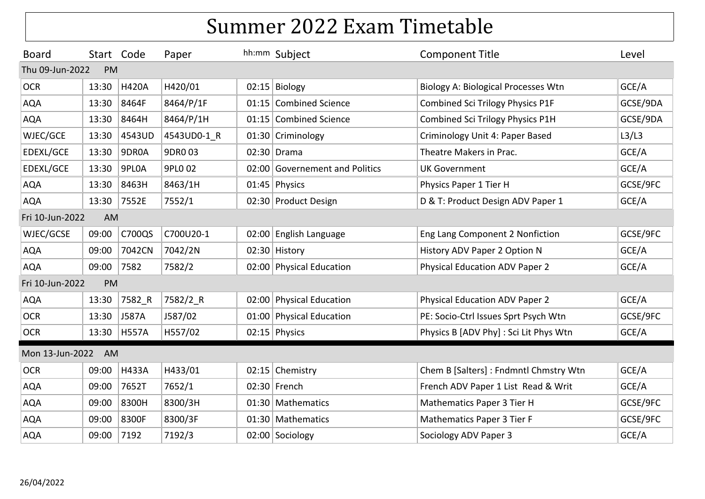| <b>Board</b>    | Start Code |               | Paper       | hh:mm Subject                  | <b>Component Title</b>                     | Level    |
|-----------------|------------|---------------|-------------|--------------------------------|--------------------------------------------|----------|
| Thu 09-Jun-2022 | <b>PM</b>  |               |             |                                |                                            |          |
| <b>OCR</b>      | 13:30      | <b>H420A</b>  | H420/01     | $02:15$ Biology                | <b>Biology A: Biological Processes Wtn</b> | GCE/A    |
| <b>AQA</b>      | 13:30      | 8464F         | 8464/P/1F   | 01:15 Combined Science         | Combined Sci Trilogy Physics P1F           | GCSE/9DA |
| <b>AQA</b>      | 13:30      | 8464H         | 8464/P/1H   | 01:15 Combined Science         | Combined Sci Trilogy Physics P1H           | GCSE/9DA |
| WJEC/GCE        | 13:30      | 4543UD        | 4543UD0-1 R | 01:30 Criminology              | Criminology Unit 4: Paper Based            | L3/L3    |
| EDEXL/GCE       | 13:30      | 9DR0A         | 9DR003      | 02:30 Drama                    | Theatre Makers in Prac.                    | GCE/A    |
| EDEXL/GCE       | 13:30      | 9PL0A         | 9PL0 02     | 02:00 Governement and Politics | <b>UK Government</b>                       | GCE/A    |
| <b>AQA</b>      | 13:30      | 8463H         | 8463/1H     | 01:45 Physics                  | Physics Paper 1 Tier H                     | GCSE/9FC |
| <b>AQA</b>      | 13:30      | 7552E         | 7552/1      | 02:30 Product Design           | D & T: Product Design ADV Paper 1          | GCE/A    |
| Fri 10-Jun-2022 | AM         |               |             |                                |                                            |          |
| WJEC/GCSE       | 09:00      | <b>C700QS</b> | C700U20-1   | 02:00 English Language         | Eng Lang Component 2 Nonfiction            | GCSE/9FC |
| <b>AQA</b>      | 09:00      | 7042CN        | 7042/2N     | 02:30 History                  | History ADV Paper 2 Option N               | GCE/A    |
| <b>AQA</b>      | 09:00      | 7582          | 7582/2      | 02:00 Physical Education       | <b>Physical Education ADV Paper 2</b>      | GCE/A    |
| Fri 10-Jun-2022 | PM         |               |             |                                |                                            |          |
| <b>AQA</b>      | 13:30      | 7582 R        | 7582/2 R    | 02:00 Physical Education       | <b>Physical Education ADV Paper 2</b>      | GCE/A    |
| <b>OCR</b>      | 13:30      | J587A         | J587/02     | 01:00 Physical Education       | PE: Socio-Ctrl Issues Sprt Psych Wtn       | GCSE/9FC |
| <b>OCR</b>      | 13:30      | H557A         | H557/02     | $02:15$ Physics                | Physics B [ADV Phy] : Sci Lit Phys Wtn     | GCE/A    |
| Mon 13-Jun-2022 | AM         |               |             |                                |                                            |          |
| <b>OCR</b>      | 09:00      | <b>H433A</b>  | H433/01     | 02:15 Chemistry                | Chem B [Salters] : Fndmntl Chmstry Wtn     | GCE/A    |
| <b>AQA</b>      | 09:00      | 7652T         | 7652/1      | 02:30 French                   | French ADV Paper 1 List Read & Writ        | GCE/A    |
| <b>AQA</b>      | 09:00      | 8300H         | 8300/3H     | 01:30 Mathematics              | Mathematics Paper 3 Tier H                 | GCSE/9FC |
| <b>AQA</b>      | 09:00      | 8300F         | 8300/3F     | 01:30 Mathematics              | Mathematics Paper 3 Tier F                 | GCSE/9FC |
| <b>AQA</b>      | 09:00      | 7192          | 7192/3      | 02:00 Sociology                | Sociology ADV Paper 3                      | GCE/A    |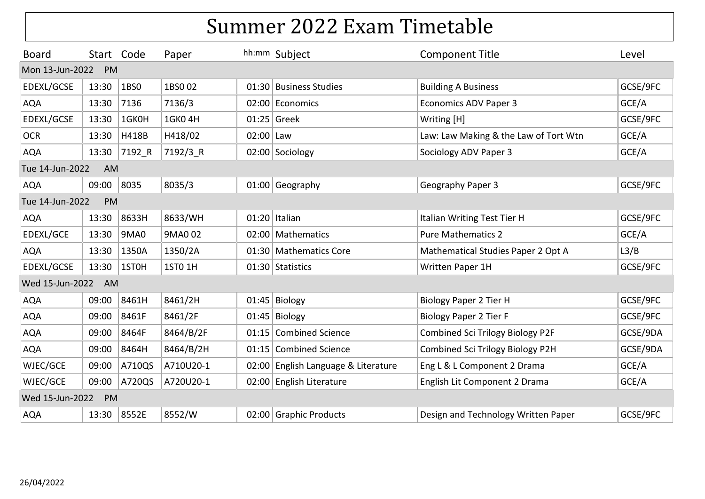| <b>Board</b>          | Start Code |        | Paper     |           | hh:mm Subject                       | <b>Component Title</b>                  | Level    |  |  |  |
|-----------------------|------------|--------|-----------|-----------|-------------------------------------|-----------------------------------------|----------|--|--|--|
| Mon 13-Jun-2022       | PM         |        |           |           |                                     |                                         |          |  |  |  |
| EDEXL/GCSE            | 13:30      | 1BS0   | 1BS002    |           | 01:30 Business Studies              | <b>Building A Business</b>              | GCSE/9FC |  |  |  |
| <b>AQA</b>            | 13:30      | 7136   | 7136/3    |           | 02:00 Economics                     | <b>Economics ADV Paper 3</b>            | GCE/A    |  |  |  |
| EDEXL/GCSE            | 13:30      | 1GK0H  | 1GK0 4H   |           | 01:25 Greek                         | Writing [H]                             | GCSE/9FC |  |  |  |
| <b>OCR</b>            | 13:30      | H418B  | H418/02   | 02:00 Law |                                     | Law: Law Making & the Law of Tort Wtn   | GCE/A    |  |  |  |
| <b>AQA</b>            | 13:30      | 7192 R | 7192/3 R  |           | 02:00 Sociology                     | Sociology ADV Paper 3                   | GCE/A    |  |  |  |
| AM<br>Tue 14-Jun-2022 |            |        |           |           |                                     |                                         |          |  |  |  |
| <b>AQA</b>            | 09:00      | 8035   | 8035/3    |           | 01:00 Geography                     | Geography Paper 3                       | GCSE/9FC |  |  |  |
| Tue 14-Jun-2022       | PM         |        |           |           |                                     |                                         |          |  |  |  |
| <b>AQA</b>            | 13:30      | 8633H  | 8633/WH   |           | $01:20$ Italian                     | Italian Writing Test Tier H             | GCSE/9FC |  |  |  |
| EDEXL/GCE             | 13:30      | 9MA0   | 9MA0 02   |           | 02:00 Mathematics                   | <b>Pure Mathematics 2</b>               | GCE/A    |  |  |  |
| <b>AQA</b>            | 13:30      | 1350A  | 1350/2A   |           | 01:30 Mathematics Core              | Mathematical Studies Paper 2 Opt A      | L3/B     |  |  |  |
| EDEXL/GCSE            | 13:30      | 1ST0H  | 1ST0 1H   |           | 01:30 Statistics                    | Written Paper 1H                        | GCSE/9FC |  |  |  |
| Wed 15-Jun-2022       | AM         |        |           |           |                                     |                                         |          |  |  |  |
| <b>AQA</b>            | 09:00      | 8461H  | 8461/2H   |           | $01:45$ Biology                     | <b>Biology Paper 2 Tier H</b>           | GCSE/9FC |  |  |  |
| <b>AQA</b>            | 09:00      | 8461F  | 8461/2F   |           | $01:45$ Biology                     | <b>Biology Paper 2 Tier F</b>           | GCSE/9FC |  |  |  |
| <b>AQA</b>            | 09:00      | 8464F  | 8464/B/2F |           | 01:15 Combined Science              | <b>Combined Sci Trilogy Biology P2F</b> | GCSE/9DA |  |  |  |
| <b>AQA</b>            | 09:00      | 8464H  | 8464/B/2H |           | 01:15 Combined Science              | Combined Sci Trilogy Biology P2H        | GCSE/9DA |  |  |  |
| WJEC/GCE              | 09:00      | A710QS | A710U20-1 |           | 02:00 English Language & Literature | Eng L & L Component 2 Drama             | GCE/A    |  |  |  |
| WJEC/GCE              | 09:00      | A720QS | A720U20-1 |           | 02:00 English Literature            | English Lit Component 2 Drama           | GCE/A    |  |  |  |
| Wed 15-Jun-2022       | PM         |        |           |           |                                     |                                         |          |  |  |  |
| <b>AQA</b>            | 13:30      | 8552E  | 8552/W    |           | 02:00 Graphic Products              | Design and Technology Written Paper     | GCSE/9FC |  |  |  |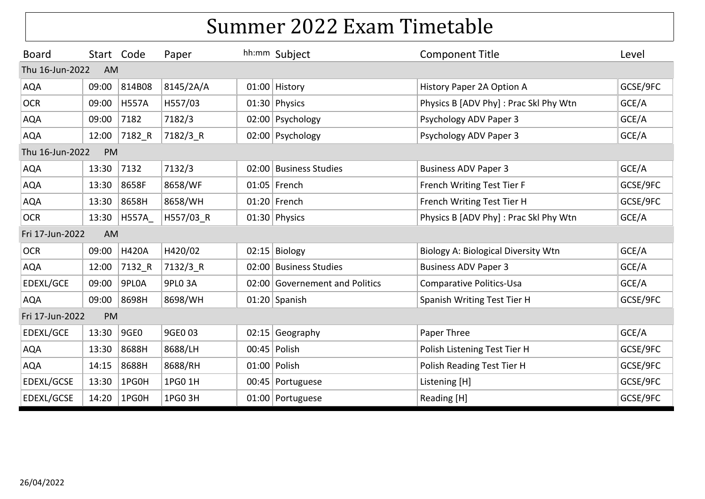| <b>Board</b>    | Start Code            |              | Paper     |  | hh:mm Subject                  | <b>Component Title</b>                 | Level    |  |  |  |  |
|-----------------|-----------------------|--------------|-----------|--|--------------------------------|----------------------------------------|----------|--|--|--|--|
| Thu 16-Jun-2022 | <b>AM</b>             |              |           |  |                                |                                        |          |  |  |  |  |
| <b>AQA</b>      | 09:00                 | 814B08       | 8145/2A/A |  | 01:00 History                  | History Paper 2A Option A              | GCSE/9FC |  |  |  |  |
| <b>OCR</b>      | 09:00                 | <b>H557A</b> | H557/03   |  | 01:30 Physics                  | Physics B [ADV Phy]: Prac Skl Phy Wtn  | GCE/A    |  |  |  |  |
| <b>AQA</b>      | 09:00                 | 7182         | 7182/3    |  | 02:00 Psychology               | Psychology ADV Paper 3                 | GCE/A    |  |  |  |  |
| <b>AQA</b>      | 12:00                 | 7182_R       | 7182/3_R  |  | 02:00 Psychology               | Psychology ADV Paper 3                 | GCE/A    |  |  |  |  |
|                 | Thu 16-Jun-2022<br>PM |              |           |  |                                |                                        |          |  |  |  |  |
| <b>AQA</b>      | 13:30                 | 7132         | 7132/3    |  | 02:00 Business Studies         | <b>Business ADV Paper 3</b>            | GCE/A    |  |  |  |  |
| <b>AQA</b>      | 13:30                 | 8658F        | 8658/WF   |  | $01:05$ French                 | French Writing Test Tier F             | GCSE/9FC |  |  |  |  |
| <b>AQA</b>      | 13:30                 | 8658H        | 8658/WH   |  | 01:20 French                   | French Writing Test Tier H             | GCSE/9FC |  |  |  |  |
| <b>OCR</b>      | 13:30                 | <b>H557A</b> | H557/03 R |  | 01:30 Physics                  | Physics B [ADV Phy] : Prac Skl Phy Wtn | GCE/A    |  |  |  |  |
| Fri 17-Jun-2022 | AM                    |              |           |  |                                |                                        |          |  |  |  |  |
| <b>OCR</b>      | 09:00                 | <b>H420A</b> | H420/02   |  | $02:15$ Biology                | Biology A: Biological Diversity Wtn    | GCE/A    |  |  |  |  |
| <b>AQA</b>      | 12:00                 | 7132 R       | 7132/3 R  |  | 02:00 Business Studies         | <b>Business ADV Paper 3</b>            | GCE/A    |  |  |  |  |
| EDEXL/GCE       | 09:00                 | 9PL0A        | 9PLO 3A   |  | 02:00 Governement and Politics | <b>Comparative Politics-Usa</b>        | GCE/A    |  |  |  |  |
| <b>AQA</b>      | 09:00                 | 8698H        | 8698/WH   |  | $01:20$ Spanish                | Spanish Writing Test Tier H            | GCSE/9FC |  |  |  |  |
| Fri 17-Jun-2022 | PM                    |              |           |  |                                |                                        |          |  |  |  |  |
| EDEXL/GCE       | 13:30                 | 9GE0         | 9GE0 03   |  | $02:15$ Geography              | Paper Three                            | GCE/A    |  |  |  |  |
| <b>AQA</b>      | 13:30                 | 8688H        | 8688/LH   |  | 00:45 Polish                   | Polish Listening Test Tier H           | GCSE/9FC |  |  |  |  |
| <b>AQA</b>      | 14:15                 | 8688H        | 8688/RH   |  | 01:00 Polish                   | Polish Reading Test Tier H             | GCSE/9FC |  |  |  |  |
| EDEXL/GCSE      | 13:30                 | 1PG0H        | 1PG0 1H   |  | 00:45 Portuguese               | Listening [H]                          | GCSE/9FC |  |  |  |  |
| EDEXL/GCSE      | 14:20                 | 1PG0H        | 1PG0 3H   |  | 01:00 Portuguese               | Reading [H]                            | GCSE/9FC |  |  |  |  |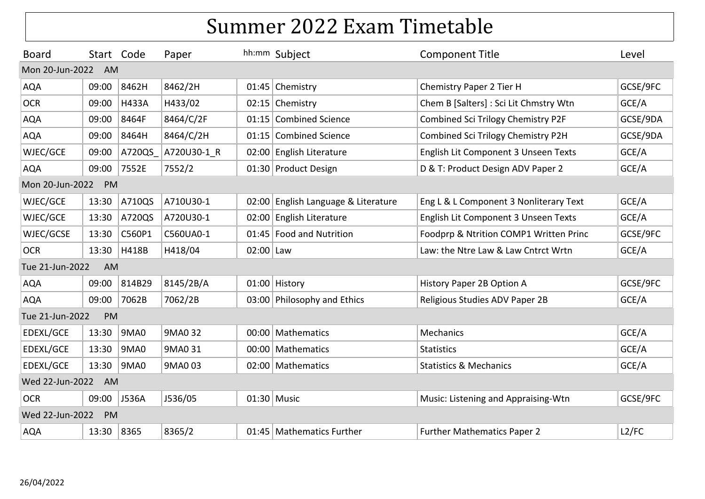| <b>Board</b>    | Start Code |              | Paper       |           | hh:mm Subject                       | <b>Component Title</b>                 | Level    |
|-----------------|------------|--------------|-------------|-----------|-------------------------------------|----------------------------------------|----------|
| Mon 20-Jun-2022 | AM         |              |             |           |                                     |                                        |          |
| <b>AQA</b>      | 09:00      | 8462H        | 8462/2H     |           | 01:45 Chemistry                     | Chemistry Paper 2 Tier H               | GCSE/9FC |
| <b>OCR</b>      | 09:00      | <b>H433A</b> | H433/02     |           | 02:15 Chemistry                     | Chem B [Salters] : Sci Lit Chmstry Wtn | GCE/A    |
| <b>AQA</b>      | 09:00      | 8464F        | 8464/C/2F   |           | 01:15 Combined Science              | Combined Sci Trilogy Chemistry P2F     | GCSE/9DA |
| <b>AQA</b>      | 09:00      | 8464H        | 8464/C/2H   |           | 01:15 Combined Science              | Combined Sci Trilogy Chemistry P2H     | GCSE/9DA |
| WJEC/GCE        | 09:00      | A720QS       | A720U30-1 R |           | 02:00 English Literature            | English Lit Component 3 Unseen Texts   | GCE/A    |
| <b>AQA</b>      | 09:00      | 7552E        | 7552/2      |           | 01:30 Product Design                | D & T: Product Design ADV Paper 2      | GCE/A    |
| Mon 20-Jun-2022 | PM         |              |             |           |                                     |                                        |          |
| WJEC/GCE        | 13:30      | A710QS       | A710U30-1   |           | 02:00 English Language & Literature | Eng L & L Component 3 Nonliterary Text | GCE/A    |
| WJEC/GCE        | 13:30      | A720QS       | A720U30-1   |           | 02:00 English Literature            | English Lit Component 3 Unseen Texts   | GCE/A    |
| WJEC/GCSE       | 13:30      | C560P1       | C560UA0-1   |           | 01:45 Food and Nutrition            | Foodprp & Ntrition COMP1 Written Princ | GCSE/9FC |
| <b>OCR</b>      | 13:30      | H418B        | H418/04     | 02:00 Law |                                     | Law: the Ntre Law & Law Cntrct Wrtn    | GCE/A    |
| Tue 21-Jun-2022 | AM         |              |             |           |                                     |                                        |          |
| <b>AQA</b>      | 09:00      | 814B29       | 8145/2B/A   |           | 01:00 History                       | History Paper 2B Option A              | GCSE/9FC |
| <b>AQA</b>      | 09:00      | 7062B        | 7062/2B     |           | 03:00 Philosophy and Ethics         | Religious Studies ADV Paper 2B         | GCE/A    |
| Tue 21-Jun-2022 | PM         |              |             |           |                                     |                                        |          |
| EDEXL/GCE       | 13:30      | 9MA0         | 9MA0 32     |           | 00:00 Mathematics                   | <b>Mechanics</b>                       | GCE/A    |
| EDEXL/GCE       | 13:30      | 9MA0         | 9MA0 31     |           | 00:00 Mathematics                   | <b>Statistics</b>                      | GCE/A    |
| EDEXL/GCE       | 13:30      | <b>9MA0</b>  | 9MA003      |           | 02:00 Mathematics                   | <b>Statistics &amp; Mechanics</b>      | GCE/A    |
| Wed 22-Jun-2022 | AM         |              |             |           |                                     |                                        |          |
| <b>OCR</b>      | 09:00      | J536A        | J536/05     |           | 01:30 Music                         | Music: Listening and Appraising-Wtn    | GCSE/9FC |
| Wed 22-Jun-2022 | PM         |              |             |           |                                     |                                        |          |
| <b>AQA</b>      | 13:30      | 8365         | 8365/2      |           | 01:45 Mathematics Further           | <b>Further Mathematics Paper 2</b>     | L2/FC    |